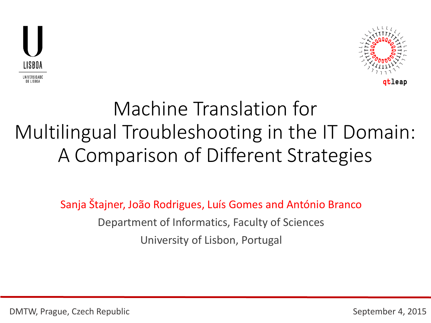



### Machine Translation for Multilingual Troubleshooting in the IT Domain: A Comparison of Different Strategies

Sanja Štajner, João Rodrigues, Luís Gomes and António Branco Department of Informatics, Faculty of Sciences University of Lisbon, Portugal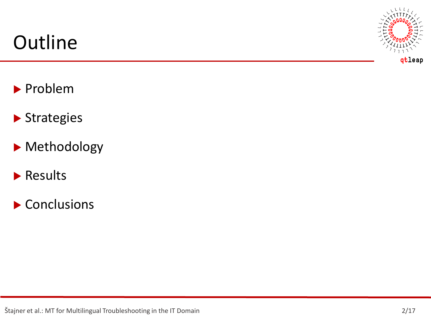#### **Outline**



- **Problem**
- Strategies
- Methodology
- **Results**
- Conclusions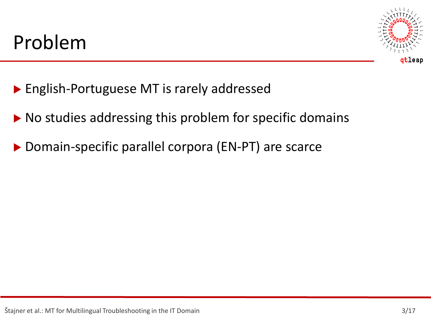

- ▶ English-Portuguese MT is rarely addressed
- ▶ No studies addressing this problem for specific domains
- ▶ Domain-specific parallel corpora (EN-PT) are scarce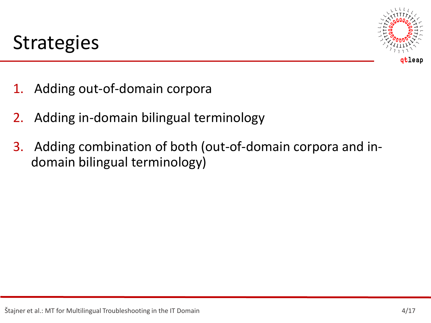

- 1. Adding out-of-domain corpora
- 2. Adding in-domain bilingual terminology
- 3. Adding combination of both (out-of-domain corpora and indomain bilingual terminology)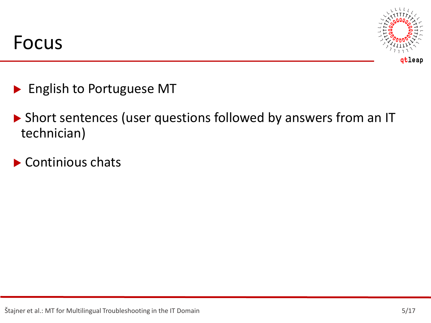

- **English to Portuguese MT**
- ▶ Short sentences (user questions followed by answers from an IT technician)
- ▶ Continious chats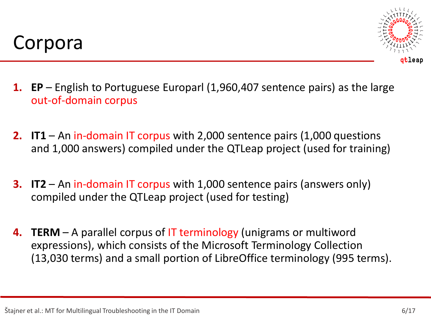



- **1. EP** English to Portuguese Europarl (1,960,407 sentence pairs) as the large out-of-domain corpus
- **2. IT1** An in-domain IT corpus with 2,000 sentence pairs (1,000 questions and 1,000 answers) compiled under the QTLeap project (used for training)
- **3. IT2** An in-domain IT corpus with 1,000 sentence pairs (answers only) compiled under the QTLeap project (used for testing)
- **4. TERM** A parallel corpus of IT terminology (unigrams or multiword expressions), which consists of the Microsoft Terminology Collection (13,030 terms) and a small portion of LibreOffice terminology (995 terms).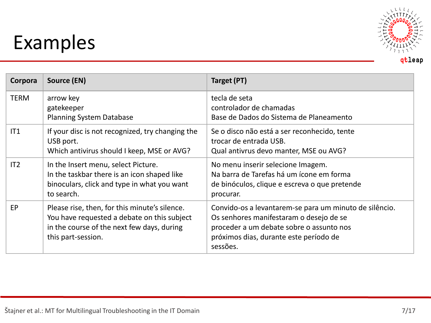# Examples



| Corpora     | Source (EN)                                                                                                                                                      | Target (PT)                                                                                                                                                                                         |
|-------------|------------------------------------------------------------------------------------------------------------------------------------------------------------------|-----------------------------------------------------------------------------------------------------------------------------------------------------------------------------------------------------|
| <b>TERM</b> | arrow key<br>gatekeeper<br><b>Planning System Database</b>                                                                                                       | tecla de seta<br>controlador de chamadas<br>Base de Dados do Sistema de Planeamento                                                                                                                 |
| IT1         | If your disc is not recognized, try changing the<br>USB port.<br>Which antivirus should I keep, MSE or AVG?                                                      | Se o disco não está a ser reconhecido, tente<br>trocar de entrada USB.<br>Qual antivrus devo manter, MSE ou AVG?                                                                                    |
| IT2         | In the Insert menu, select Picture.<br>In the taskbar there is an icon shaped like<br>binoculars, click and type in what you want<br>to search.                  | No menu inserir selecione Imagem.<br>Na barra de Tarefas há um ícone em forma<br>de binóculos, clique e escreva o que pretende<br>procurar.                                                         |
| EP          | Please rise, then, for this minute's silence.<br>You have requested a debate on this subject<br>in the course of the next few days, during<br>this part-session. | Convido-os a levantarem-se para um minuto de silêncio.<br>Os senhores manifestaram o desejo de se<br>proceder a um debate sobre o assunto nos<br>próximos dias, durante este período de<br>sessões. |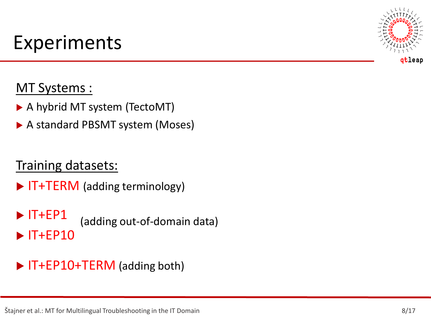# Experiments

#### MT Systems :

- A hybrid MT system (TectoMT)
- A standard PBSMT system (Moses)

#### Training datasets:

- ▶ IT+TERM (adding terminology)
- $\blacktriangleright$  IT+EP1  $\blacktriangleright$  IT+EP10 (adding out-of-domain data)

#### ▶ IT+EP10+TERM (adding both)

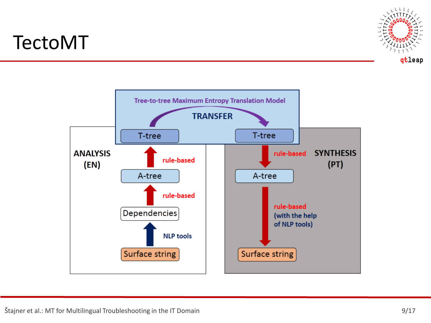#### TectoMT



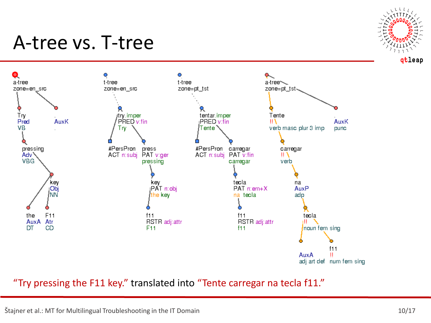#### A-tree vs. T-tree





"Try pressing the F11 key." translated into "Tente carregar na tecla f11."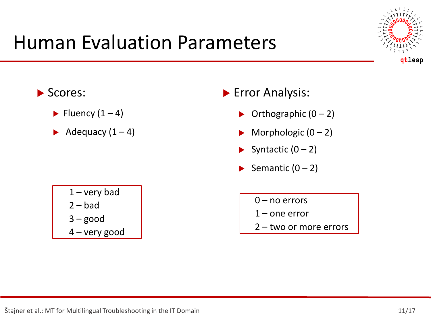#### Human Evaluation Parameters



- Scores:
	- $\blacktriangleright$  Fluency (1 4)
	- Adequacy  $(1 4)$
- **Error Analysis:** 
	- $\triangleright$  Orthographic  $(0 2)$
	- $\triangleright$  Morphologic (0 2)
	- Syntactic  $(0 2)$
	- Semantic  $(0 2)$ 
		- $0$  no errors
			- 1 one error
		- 2 two or more errors

 $1 -$  very bad  $2 - bad$  $3 - good$ 4 – very good

Stajner et al.: MT for Multilingual Troubleshooting in the IT Domain 11/17 and 11/17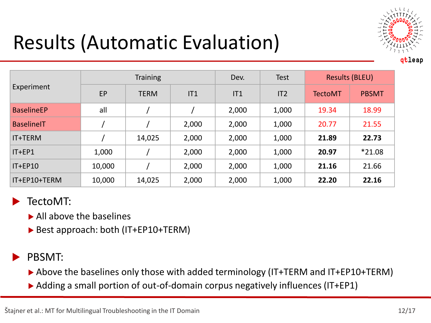

# Results (Automatic Evaluation)

|                   |           | <b>Training</b> |       | Dev.  | <b>Test</b> | Results (BLEU) |              |
|-------------------|-----------|-----------------|-------|-------|-------------|----------------|--------------|
| Experiment        | <b>EP</b> | <b>TERM</b>     | IT1   | IT1   | IT2         | <b>TectoMT</b> | <b>PBSMT</b> |
| <b>BaselineEP</b> | all       |                 |       | 2,000 | 1,000       | 19.34          | 18.99        |
| <b>BaselineIT</b> |           |                 | 2,000 | 2,000 | 1,000       | 20.77          | 21.55        |
| IT+TERM           |           | 14,025          | 2,000 | 2,000 | 1,000       | 21.89          | 22.73        |
| $IT + EP1$        | 1,000     |                 | 2,000 | 2,000 | 1,000       | 20.97          | $*21.08$     |
| $IT + EP10$       | 10,000    |                 | 2,000 | 2,000 | 1,000       | 21.16          | 21.66        |
| IT+EP10+TERM      | 10,000    | 14,025          | 2,000 | 2,000 | 1,000       | 22.20          | 22.16        |

#### TectoMT:

- ▶ All above the baselines
- ▶ Best approach: both (IT+EP10+TERM)

#### PBSMT:

- ▶ Above the baselines only those with added terminology (IT+TERM and IT+EP10+TERM)
- ▶ Adding a small portion of out-of-domain corpus negatively influences (IT+EP1)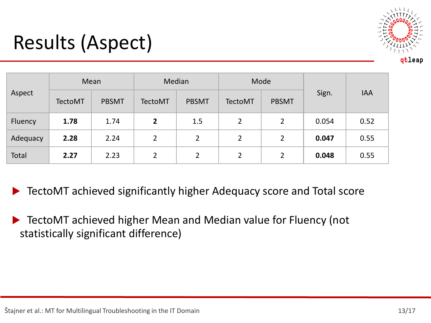

### Results (Aspect)

| Aspect   | Mean           |              | Median         |                | Mode           |                |       |            |
|----------|----------------|--------------|----------------|----------------|----------------|----------------|-------|------------|
|          | <b>TectoMT</b> | <b>PBSMT</b> | <b>TectoMT</b> | <b>PBSMT</b>   | <b>TectoMT</b> | <b>PBSMT</b>   | Sign. | <b>IAA</b> |
| Fluency  | 1.78           | 1.74         | $\overline{2}$ | 1.5            | $\overline{2}$ | $\overline{2}$ | 0.054 | 0.52       |
| Adequacy | 2.28           | 2.24         | $\overline{2}$ | $\overline{2}$ | 2              | 2              | 0.047 | 0.55       |
| Total    | 2.27           | 2.23         | $\overline{2}$ | 2              | $\overline{2}$ | 2              | 0.048 | 0.55       |

TectoMT achieved significantly higher Adequacy score and Total score

 TectoMT achieved higher Mean and Median value for Fluency (not statistically significant difference)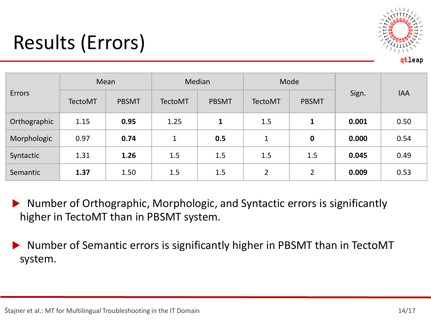

# Results (Errors)

| Errors       | Mean           |              | Median         |              | Mode           |                  |       |            |
|--------------|----------------|--------------|----------------|--------------|----------------|------------------|-------|------------|
|              | <b>TectoMT</b> | <b>PBSMT</b> | <b>TectoMT</b> | <b>PBSMT</b> | <b>TectoMT</b> | <b>PBSMT</b>     | Sign. | <b>IAA</b> |
| Orthographic | 1.15           | 0.95         | 1.25           | $\mathbf{1}$ | 1.5            | $\mathbf{1}$     | 0.001 | 0.50       |
| Morphologic  | 0.97           | 0.74         | $\mathbf{1}$   | 0.5          | $\mathbf 1$    | $\boldsymbol{0}$ | 0.000 | 0.54       |
| Syntactic    | 1.31           | 1.26         | 1.5            | 1.5          | 1.5            | 1.5              | 0.045 | 0.49       |
| Semantic     | 1.37           | 1.50         | 1.5            | 1.5          | $\overline{2}$ | 2                | 0.009 | 0.53       |

▶ Number of Orthographic, Morphologic, and Syntactic errors is significantly higher in TectoMT than in PBSMT system.

 Number of Semantic errors is significantly higher in PBSMT than in TectoMT system.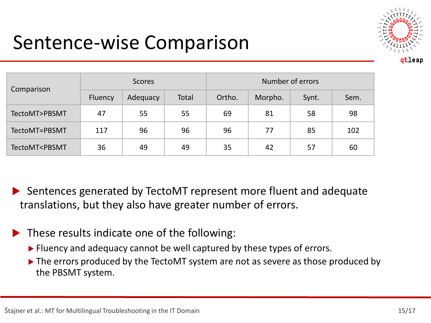#### Sentence-wise Comparison



| Comparison                                                                                                   | <b>Scores</b> |          |       | Number of errors |         |       |      |
|--------------------------------------------------------------------------------------------------------------|---------------|----------|-------|------------------|---------|-------|------|
|                                                                                                              | Fluency       | Adequacy | Total | Ortho.           | Morpho. | Synt. | Sem. |
| TectoMT>PBSMT                                                                                                | 47            | 55       | 55    | 69               | 81      | 58    | 98   |
| TectoMT=PBSMT                                                                                                | 117           | 96       | 96    | 96               | 77      | 85    | 102  |
| TectoMT <pbsmt< td=""><td>36</td><td>49</td><td>49</td><td>35</td><td>42</td><td>57</td><td>60</td></pbsmt<> | 36            | 49       | 49    | 35               | 42      | 57    | 60   |

 Sentences generated by TectoMT represent more fluent and adequate translations, but they also have greater number of errors.

- These results indicate one of the following:
	- ▶ Fluency and adequacy cannot be well captured by these types of errors.
	- The errors produced by the TectoMT system are not as severe as those produced by the PBSMT system.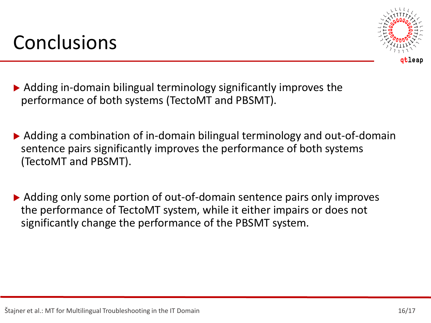#### **Conclusions**



- Adding in-domain bilingual terminology significantly improves the performance of both systems (TectoMT and PBSMT).
- Adding a combination of in-domain bilingual terminology and out-of-domain sentence pairs significantly improves the performance of both systems (TectoMT and PBSMT).
- ▶ Adding only some portion of out-of-domain sentence pairs only improves the performance of TectoMT system, while it either impairs or does not significantly change the performance of the PBSMT system.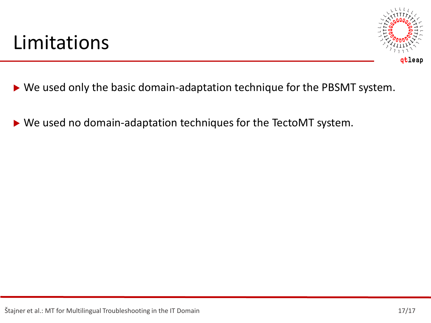#### Limitations



- ▶ We used only the basic domain-adaptation technique for the PBSMT system.
- ▶ We used no domain-adaptation techniques for the TectoMT system.